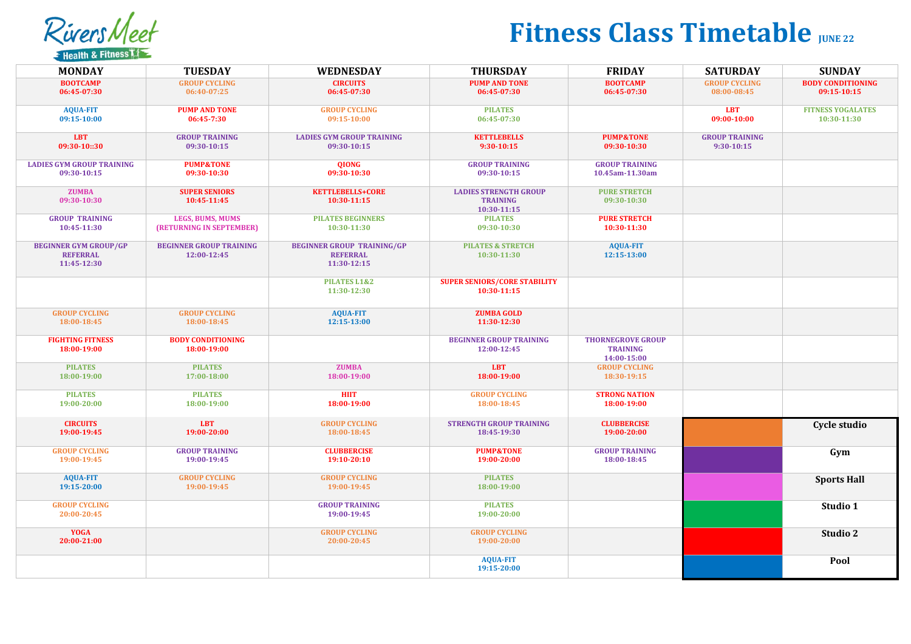RiversMeet **E** Health & Fitness

## **Fitness Class Timetable** *JUNE 22*

| <b>MONDAY</b>                                                  | <b>TUESDAY</b>                                | <b>WEDNESDAY</b>                                                    | <b>THURSDAY</b>                                                | <b>FRIDAY</b>                                              | <b>SATURDAY</b>                         | <b>SUNDAY</b>                           |
|----------------------------------------------------------------|-----------------------------------------------|---------------------------------------------------------------------|----------------------------------------------------------------|------------------------------------------------------------|-----------------------------------------|-----------------------------------------|
| <b>BOOTCAMP</b><br>06:45-07:30                                 | <b>GROUP CYCLING</b><br>06:40-07:25           | <b>CIRCUITS</b><br>06:45-07:30                                      | <b>PUMP AND TONE</b><br>06:45-07:30                            | <b>BOOTCAMP</b><br>06:45-07:30                             | <b>GROUP CYCLING</b><br>08:00-08:45     | <b>BODY CONDITIONING</b><br>09:15-10:15 |
| <b>AQUA-FIT</b><br>09:15-10:00                                 | <b>PUMP AND TONE</b><br>06:45-7:30            | <b>GROUP CYCLING</b><br>09:15-10:00                                 | <b>PILATES</b><br>06:45-07:30                                  |                                                            | <b>LBT</b><br>09:00-10:00               | <b>FITNESS YOGALATES</b><br>10:30-11:30 |
| <b>LBT</b><br>09:30-10::30                                     | <b>GROUP TRAINING</b><br>09:30-10:15          | <b>LADIES GYM GROUP TRAINING</b><br>09:30-10:15                     | <b>KETTLEBELLS</b><br>$9:30-10:15$                             | <b>PUMP&amp;TONE</b><br>09:30-10:30                        | <b>GROUP TRAINING</b><br>$9:30 - 10:15$ |                                         |
| <b>LADIES GYM GROUP TRAINING</b><br>09:30-10:15                | <b>PUMP&amp;TONE</b><br>09:30-10:30           | <b>OIONG</b><br>09:30-10:30                                         | <b>GROUP TRAINING</b><br>09:30-10:15                           | <b>GROUP TRAINING</b><br>10.45am-11.30am                   |                                         |                                         |
| <b>ZUMBA</b><br>09:30-10:30                                    | <b>SUPER SENIORS</b><br>10:45-11:45           | <b>KETTLEBELLS+CORE</b><br>10:30-11:15                              | <b>LADIES STRENGTH GROUP</b><br><b>TRAINING</b><br>10:30-11:15 | <b>PURE STRETCH</b><br>09:30-10:30                         |                                         |                                         |
| <b>GROUP TRAINING</b><br>10:45-11:30                           | LEGS, BUMS, MUMS<br>(RETURNING IN SEPTEMBER)  | <b>PILATES BEGINNERS</b><br>10:30-11:30                             | <b>PILATES</b><br>09:30-10:30                                  | <b>PURE STRETCH</b><br>10:30-11:30                         |                                         |                                         |
| <b>BEGINNER GYM GROUP/GP</b><br><b>REFERRAL</b><br>11:45-12:30 | <b>BEGINNER GROUP TRAINING</b><br>12:00-12:45 | <b>BEGINNER GROUP TRAINING/GP</b><br><b>REFERRAL</b><br>11:30-12:15 | <b>PILATES &amp; STRETCH</b><br>10:30-11:30                    | <b>AQUA-FIT</b><br>12:15-13:00                             |                                         |                                         |
|                                                                |                                               | PILATES L1&2<br>11:30-12:30                                         | <b>SUPER SENIORS/CORE STABILITY</b><br>10:30-11:15             |                                                            |                                         |                                         |
| <b>GROUP CYCLING</b><br>18:00-18:45                            | <b>GROUP CYCLING</b><br>18:00-18:45           | <b>AQUA-FIT</b><br>12:15-13:00                                      | <b>ZUMBA GOLD</b><br>11:30-12:30                               |                                                            |                                         |                                         |
| <b>FIGHTING FITNESS</b><br>18:00-19:00                         | <b>BODY CONDITIONING</b><br>18:00-19:00       |                                                                     | <b>BEGINNER GROUP TRAINING</b><br>12:00-12:45                  | <b>THORNEGROVE GROUP</b><br><b>TRAINING</b><br>14:00-15:00 |                                         |                                         |
| <b>PILATES</b><br>18:00-19:00                                  | <b>PILATES</b><br>17:00-18:00                 | <b>ZUMBA</b><br>18:00-19:00                                         | <b>LBT</b><br>18:00-19:00                                      | <b>GROUP CYCLING</b><br>18:30-19:15                        |                                         |                                         |
| <b>PILATES</b><br>19:00-20:00                                  | <b>PILATES</b><br>18:00-19:00                 | <b>HIIT</b><br>18:00-19:00                                          | <b>GROUP CYCLING</b><br>18:00-18:45                            | <b>STRONG NATION</b><br>18:00-19:00                        |                                         |                                         |
| <b>CIRCUITS</b><br>19:00-19:45                                 | <b>LBT</b><br>19:00-20:00                     | <b>GROUP CYCLING</b><br>18:00-18:45                                 | <b>STRENGTH GROUP TRAINING</b><br>18:45-19:30                  | <b>CLUBBERCISE</b><br>19:00-20:00                          |                                         | Cycle studio                            |
| <b>GROUP CYCLING</b><br>19:00-19:45                            | <b>GROUP TRAINING</b><br>19:00-19:45          | <b>CLUBBERCISE</b><br>19:10-20:10                                   | <b>PUMP&amp;TONE</b><br>19:00-20:00                            | <b>GROUP TRAINING</b><br>18:00-18:45                       |                                         | Gym                                     |
| <b>AQUA-FIT</b><br>19:15-20:00                                 | <b>GROUP CYCLING</b><br>19:00-19:45           | <b>GROUP CYCLING</b><br>19:00-19:45                                 | <b>PILATES</b><br>18:00-19:00                                  |                                                            |                                         | <b>Sports Hall</b>                      |
| <b>GROUP CYCLING</b><br>20:00-20:45                            |                                               | <b>GROUP TRAINING</b><br>19:00-19:45                                | <b>PILATES</b><br>19:00-20:00                                  |                                                            |                                         | Studio 1                                |
| <b>YOGA</b><br>20:00-21:00                                     |                                               | <b>GROUP CYCLING</b><br>20:00-20:45                                 | <b>GROUP CYCLING</b><br>19:00-20:00                            |                                                            |                                         | Studio 2                                |
|                                                                |                                               |                                                                     | <b>AQUA-FIT</b><br>19:15-20:00                                 |                                                            |                                         | Pool                                    |